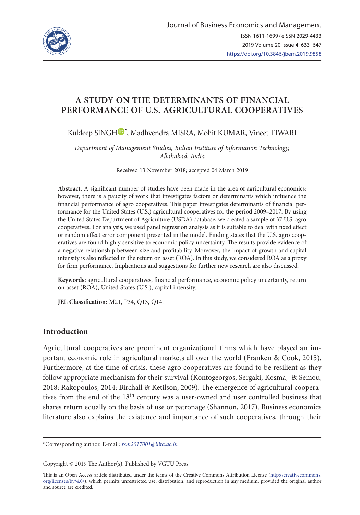

# **A STUDY ON THE DETERMINANTS OF FINANCIAL PERFORMANCE OF U.S. AGRICULTURAL COOPERATIVES**

Kuldeep SING[H](https://orcid.org/0000-0002-8180-4646) $\mathbf{\mathbb{D}}^*$ , Madhvendra MISRA, Mohit KUMAR, Vineet TIWARI

*Department of Management Studies, Indian Institute of Information Technology, Allahabad, India* 

Received 13 November 2018; accepted 04 March 2019

**Abstract.** A significant number of studies have been made in the area of agricultural economics; however, there is a paucity of work that investigates factors or determinants which influence the financial performance of agro cooperatives. This paper investigates determinants of financial performance for the United States (U.S.) agricultural cooperatives for the period 2009–2017. By using the United States Department of Agriculture (USDA) database, we created a sample of 37 U.S. agro cooperatives. For analysis, we used panel regression analysis as it is suitable to deal with fixed effect or random effect error component presented in the model. Finding states that the U.S. agro cooperatives are found highly sensitive to economic policy uncertainty. The results provide evidence of a negative relationship between size and profitability. Moreover, the impact of growth and capital intensity is also reflected in the return on asset (ROA). In this study, we considered ROA as a proxy for firm performance. Implications and suggestions for further new research are also discussed.

**Keywords:** agricultural cooperatives, financial performance, economic policy uncertainty, return on asset (ROA), United States (U.S.), capital intensity.

**JEL Classification:** M21, P34, Q13, Q14.

### **Introduction**

Agricultural cooperatives are prominent organizational firms which have played an important economic role in agricultural markets all over the world (Franken & Cook, 2015). Furthermore, at the time of crisis, these agro cooperatives are found to be resilient as they follow appropriate mechanism for their survival (Kontogeorgos, Sergaki, Kosma, & Semou, 2018; Rakopoulos, 2014; Birchall & Ketilson, 2009). The emergence of agricultural cooperatives from the end of the 18<sup>th</sup> century was a user-owned and user controlled business that shares return equally on the basis of use or patronage (Shannon, 2017). Business economics literature also explains the existence and importance of such cooperatives, through their

Copyright © 2019 The Author(s). Published by VGTU Press

This is an Open Access article distributed under the terms of the Creative Commons Attribution License ([http://creativecommons.](http://dx.doi.org/10.1016/S0377-2217(03)00091-2) [org/licenses/by/4.0/\)](http://dx.doi.org/10.1016/S0377-2217(03)00091-2), which permits unrestricted use, distribution, and reproduction in any medium, provided the original author and source are credited.

<sup>\*</sup>Corresponding author. E-mail: *[rsm2017001@iiita.ac.in](mailto:rsm2017001@iiita.ac.in)*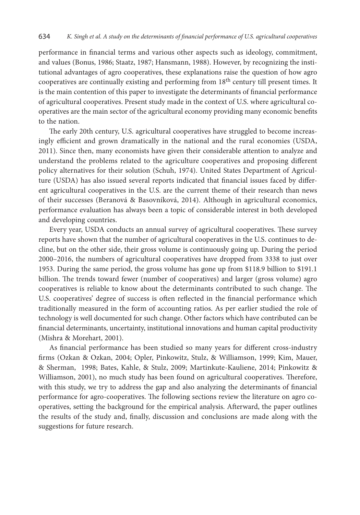performance in financial terms and various other aspects such as ideology, commitment, and values (Bonus, 1986; Staatz, 1987; Hansmann, 1988). However, by recognizing the institutional advantages of agro cooperatives, these explanations raise the question of how agro cooperatives are continually existing and performing from 18th century till present times. It is the main contention of this paper to investigate the determinants of financial performance of agricultural cooperatives. Present study made in the context of U.S. where agricultural cooperatives are the main sector of the agricultural economy providing many economic benefits to the nation.

The early 20th century, U.S. agricultural cooperatives have struggled to become increasingly efficient and grown dramatically in the national and the rural economies (USDA, 2011). Since then, many economists have given their considerable attention to analyze and understand the problems related to the agriculture cooperatives and proposing different policy alternatives for their solution (Schuh, 1974). United States Department of Agriculture (USDA) has also issued several reports indicated that financial issues faced by different agricultural cooperatives in the U.S. are the current theme of their research than news of their successes (Beranová & Basovníková, 2014). Although in agricultural economics, performance evaluation has always been a topic of considerable interest in both developed and developing countries.

Every year, USDA conducts an annual survey of agricultural cooperatives. These survey reports have shown that the number of agricultural cooperatives in the U.S. continues to decline, but on the other side, their gross volume is continuously going up. During the period 2000–2016, the numbers of agricultural cooperatives have dropped from 3338 to just over 1953. During the same period, the gross volume has gone up from \$118.9 billion to \$191.1 billion. The trends toward fewer (number of cooperatives) and larger (gross volume) agro cooperatives is reliable to know about the determinants contributed to such change. The U.S. cooperatives' degree of success is often reflected in the financial performance which traditionally measured in the form of accounting ratios. As per earlier studied the role of technology is well documented for such change. Other factors which have contributed can be financial determinants, uncertainty, institutional innovations and human capital productivity (Mishra & Morehart, 2001).

As financial performance has been studied so many years for different cross-industry firms (Ozkan & Ozkan, 2004; Opler, Pinkowitz, Stulz, & Williamson, 1999; Kim, Mauer, & Sherman, 1998; Bates, Kahle, & Stulz, 2009; Martinkute-Kauliene, 2014; Pinkowitz & Williamson, 2001), no much study has been found on agricultural cooperatives. Therefore, with this study, we try to address the gap and also analyzing the determinants of financial performance for agro-cooperatives. The following sections review the literature on agro cooperatives, setting the background for the empirical analysis. Afterward, the paper outlines the results of the study and, finally, discussion and conclusions are made along with the suggestions for future research.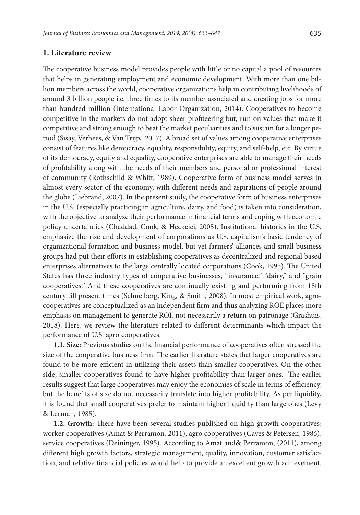#### **1. Literature review**

The cooperative business model provides people with little or no capital a pool of resources that helps in generating employment and economic development. With more than one billion members across the world, cooperative organizations help in contributing livelihoods of around 3 billion people i.e. three times to its member associated and creating jobs for more than hundred million (International Labor Organization, 2014). Cooperatives to become competitive in the markets do not adopt sheer profiteering but, run on values that make it competitive and strong enough to beat the market peculiarities and to sustain for a longer period (Sisay, Verhees, & Van Trijp, 2017). A broad set of values among cooperative enterprises consist of features like democracy, equality, responsibility, equity, and self-help, etc. By virtue of its democracy, equity and equality, cooperative enterprises are able to manage their needs of profitability along with the needs of their members and personal or professional interest of community (Rothschild & Whitt, 1989). Cooperative form of business model serves in almost every sector of the economy, with different needs and aspirations of people around the globe (Liebrand, 2007). In the present study, the cooperative form of business enterprises in the U.S. (especially practicing in agriculture, dairy, and food) is taken into consideration, with the objective to analyze their performance in financial terms and coping with economic policy uncertainties (Chaddad, Cook, & Heckelei, 2005). Institutional histories in the U.S. emphasize the rise and development of corporations as U.S. capitalism's basic tendency of organizational formation and business model, but yet farmers' alliances and small business groups had put their efforts in establishing cooperatives as decentralized and regional based enterprises alternatives to the large centrally located corporations (Cook, 1995). The United States has three industry types of cooperative businesses, "insurance," "dairy," and "grain cooperatives." And these cooperatives are continually existing and performing from 18th century till present times (Schneiberg, King, & Smith, 2008). In most empirical work, agrocooperatives are conceptualized as an independent firm and thus analyzing ROE places more emphasis on management to generate ROI, not necessarily a return on patronage (Grashuis, 2018). Here, we review the literature related to different determinants which impact the performance of U.S. agro cooperatives.

**1.1. Size:** Previous studies on the financial performance of cooperatives often stressed the size of the cooperative business firm. The earlier literature states that larger cooperatives are found to be more efficient in utilizing their assets than smaller cooperatives. On the other side, smaller cooperatives found to have higher profitability than larger ones. The earlier results suggest that large cooperatives may enjoy the economies of scale in terms of efficiency, but the benefits of size do not necessarily translate into higher profitability. As per liquidity, it is found that small cooperatives prefer to maintain higher liquidity than large ones (Levy & Lerman, 1985).

**1.2. Growth:** There have been several studies published on high-growth cooperatives; worker cooperatives (Amat & Perramon, 2011), agro cooperatives (Caves & Petersen, 1986), service cooperatives (Deininger, 1995). According to Amat and& Perramon, (2011), among different high growth factors, strategic management, quality, innovation, customer satisfaction, and relative financial policies would help to provide an excellent growth achievement.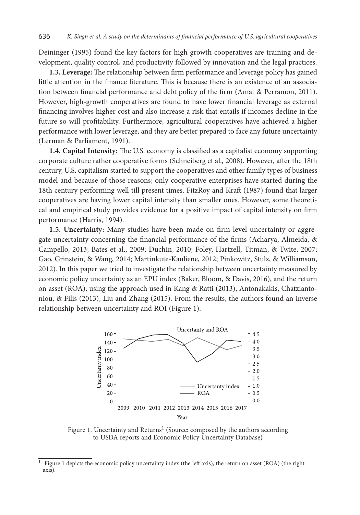Deininger (1995) found the key factors for high growth cooperatives are training and development, quality control, and productivity followed by innovation and the legal practices.

**1.3. Leverage:** The relationship between firm performance and leverage policy has gained little attention in the finance literature. This is because there is an existence of an association between financial performance and debt policy of the firm (Amat & Perramon, 2011). However, high-growth cooperatives are found to have lower financial leverage as external financing involves higher cost and also increase a risk that entails if incomes decline in the future so will profitability. Furthermore, agricultural cooperatives have achieved a higher performance with lower leverage, and they are better prepared to face any future uncertainty (Lerman & Parliament, 1991).

**1.4. Capital Intensity:** The U.S. economy is classified as a capitalist economy supporting corporate culture rather cooperative forms (Schneiberg et al., 2008). However, after the 18th century, U.S. capitalism started to support the cooperatives and other family types of business model and because of those reasons; only cooperative enterprises have started during the 18th century performing well till present times. FitzRoy and Kraft (1987) found that larger cooperatives are having lower capital intensity than smaller ones. However, some theoretical and empirical study provides evidence for a positive impact of capital intensity on firm performance (Harris, 1994).

**1.5. Uncertainty:** Many studies have been made on firm-level uncertainty or aggregate uncertainty concerning the financial performance of the firms (Acharya, Almeida, & Campello, 2013; Bates et al., 2009; Duchin, 2010; Foley, Hartzell, Titman, & Twite, 2007; Gao, Grinstein, & Wang, 2014; Martinkute-Kauliene, 2012; Pinkowitz, Stulz, & Williamson, 2012). In this paper we tried to investigate the relationship between uncertainty measured by economic policy uncertainty as an EPU index (Baker, Bloom, & Davis, 2016), and the return on asset (ROA), using the approach used in Kang & Ratti (2013), Antonakakis, Chatziantoniou, & Filis (2013), Liu and Zhang (2015). From the results, the authors found an inverse relationship between uncertainty and ROI (Figure 1).



Figure 1. Uncertainty and Returns<sup>1</sup> (Source: composed by the authors according to USDA reports and Economic Policy Uncertainty Database)

<sup>&</sup>lt;sup>1</sup> Figure 1 depicts the economic policy uncertainty index (the left axis), the return on asset (ROA) (the right axis).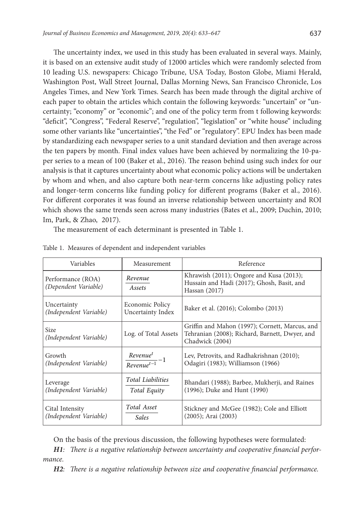The uncertainty index, we used in this study has been evaluated in several ways. Mainly, it is based on an extensive audit study of 12000 articles which were randomly selected from 10 leading U.S. newspapers: Chicago Tribune, USA Today, Boston Globe, Miami Herald, Washington Post, Wall Street Journal, Dallas Morning News, San Francisco Chronicle, Los Angeles Times, and New York Times. Search has been made through the digital archive of each paper to obtain the articles which contain the following keywords: "uncertain" or "uncertainty; "economy" or "economic"; and one of the policy term from t following keywords: "deficit", "Congress", "Federal Reserve", "regulation", "legislation" or "white house" including some other variants like "uncertainties", "the Fed" or "regulatory". EPU Index has been made by standardizing each newspaper series to a unit standard deviation and then average across the ten papers by month. Final index values have been achieved by normalizing the 10-paper series to a mean of 100 (Baker et al., 2016). The reason behind using such index for our analysis is that it captures uncertainty about what economic policy actions will be undertaken by whom and when, and also capture both near-term concerns like adjusting policy rates and longer-term concerns like funding policy for different programs (Baker et al., 2016). For different corporates it was found an inverse relationship between uncertainty and ROI which shows the same trends seen across many industries (Bates et al., 2009; Duchin, 2010; Im, Park, & Zhao, 2017).

The measurement of each determinant is presented in Table 1.

| Variables                                 | Measurement                           | Reference                                                                                                           |
|-------------------------------------------|---------------------------------------|---------------------------------------------------------------------------------------------------------------------|
| Performance (ROA)<br>(Dependent Variable) | Revenue<br>Assets                     | Khrawish (2011); Ongore and Kusa (2013);<br>Hussain and Hadi (2017); Ghosh, Basit, and<br>Hassan (2017)             |
| Uncertainty<br>(Independent Variable)     | Economic Policy<br>Uncertainty Index  | Baker et al. (2016); Colombo (2013)                                                                                 |
| Size<br>(Independent Variable)            | Log. of Total Assets                  | Griffin and Mahon (1997); Cornett, Marcus, and<br>Tehranian (2008); Richard, Barnett, Dwyer, and<br>Chadwick (2004) |
| Growth<br>(Independent Variable)          | $\frac{Revenue^t}{Revenue^{t-1}} - 1$ | Lev, Petrovits, and Radhakrishnan (2010);<br>Odagiri (1983); Williamson (1966)                                      |
| Leverage<br>(Independent Variable)        | Total Liabilities<br>Total Equity     | Bhandari (1988); Barbee, Mukherji, and Raines<br>(1996); Duke and Hunt (1990)                                       |
| Cital Intensity<br>(Independent Variable) | Total Asset<br><b>Sales</b>           | Stickney and McGee (1982); Cole and Elliott<br>$(2005)$ ; Arai $(2003)$                                             |

Table 1. Measures of dependent and independent variables

On the basis of the previous discussion, the following hypotheses were formulated:

*H1: There is a negative relationship between uncertainty and cooperative financial performance.*

*H2: There is a negative relationship between size and cooperative financial performance.*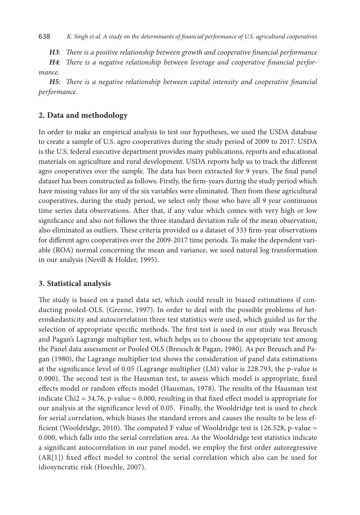*H3: There is a positive relationship between growth and cooperative financial performance*

*H4: There is a negative relationship between leverage and cooperative financial performance.*

*H5: There is a negative relationship between capital intensity and cooperative financial performance.*

## **2. Data and methodology**

In order to make an empirical analysis to test our hypotheses, we used the USDA database to create a sample of U.S. agro cooperatives during the study period of 2009 to 2017. USDA is the U.S. federal executive department provides many publications, reports and educational materials on agriculture and rural development. USDA reports help us to track the different agro cooperatives over the sample. The data has been extracted for 9 years. The final panel dataset has been constructed as follows. Firstly, the firm-years during the study period which have missing values for any of the six variables were eliminated. Then from these agricultural cooperatives, during the study period, we select only those who have all 9 year continuous time series data observations. After that, if any value which comes with very high or low significance and also not follows the three standard deviation rule of the mean observation, also eliminated as outliers. These criteria provided us a dataset of 333 firm-year observations for different agro cooperatives over the 2009-2017 time periods. To make the dependent variable (ROA) normal concerning the mean and variance, we used natural log transformation in our analysis (Nevill & Holder, 1995).

# **3. Statistical analysis**

The study is based on a panel data set, which could result in biased estimations if conducting pooled-OLS. (Greene, 1997). In order to deal with the possible problems of heteroskedasticity and autocorrelation three test statistics were used, which guided us for the selection of appropriate specific methods. The first test is used in our study was Breusch and Pagan's Lagrange multiplier test, which helps us to choose the appropriate test among the Panel data assessment or Pooled OLS (Breusch & Pagan, 1980). As per Breusch and Pagan (1980), the Lagrange multiplier test shows the consideration of panel data estimations at the significance level of 0.05 (Lagrange multiplier (LM) value is 228.793, the p-value is 0.000). The second test is the Hausman test, to assess which model is appropriate, fixed effects model or random effects model (Hausman, 1978). The results of the Hausman test indicate  $Chi2 = 34.76$ , p-value = 0.000, resulting in that fixed effect model is appropriate for our analysis at the significance level of 0.05. Finally, the Wooldridge test is used to check for serial correlation, which biases the standard errors and causes the results to be less efficient (Wooldridge, 2010). The computed F value of Wooldridge test is 126.528, p-value = 0.000, which falls into the serial correlation area. As the Wooldridge test statistics indicate a significant autocorrelation in our panel model, we employ the first order autoregressive (AR[1]) fixed effect model to control the serial correlation which also can be used for idiosyncratic risk (Hoechle, 2007).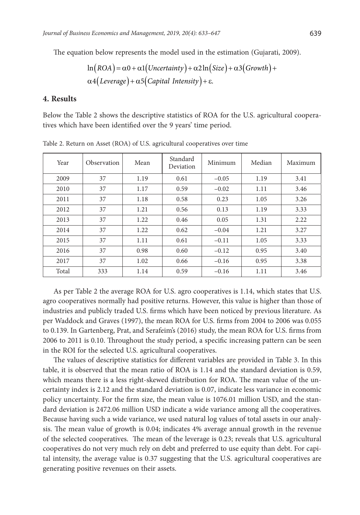The equation below represents the model used in the estimation (Gujarati, 2009).

$$
\ln(ROA) = \alpha 0 + \alpha 1 \big( \text{Uncertainty} \big) + \alpha 2 \ln \big( \text{Size} \big) + \alpha 3 \big( \text{Growth} \big) + \alpha 4 \big( \text{Leverage} \big) + \alpha 5 \big( \text{Capital Intensity} \big) + \epsilon.
$$

#### **4. Results**

Below the Table 2 shows the descriptive statistics of ROA for the U.S. agricultural cooperatives which have been identified over the 9 years' time period.

| Year  | Observation | Mean | Standard<br>Deviation | Minimum | Median | Maximum |
|-------|-------------|------|-----------------------|---------|--------|---------|
| 2009  | 37          | 1.19 | 0.61                  | $-0.05$ | 1.19   | 3.41    |
| 2010  | 37          | 1.17 | 0.59                  | $-0.02$ | 1.11   | 3.46    |
| 2011  | 37          | 1.18 | 0.58                  | 0.23    | 1.05   | 3.26    |
| 2012  | 37          | 1.21 | 0.56                  | 0.13    | 1.19   | 3.33    |
| 2013  | 37          | 1.22 | 0.46                  | 0.05    | 1.31   | 2.22    |
| 2014  | 37          | 1.22 | 0.62                  | $-0.04$ | 1.21   | 3.27    |
| 2015  | 37          | 1.11 | 0.61                  | $-0.11$ | 1.05   | 3.33    |
| 2016  | 37          | 0.98 | 0.60                  | $-0.12$ | 0.95   | 3.40    |
| 2017  | 37          | 1.02 | 0.66                  | $-0.16$ | 0.95   | 3.38    |
| Total | 333         | 1.14 | 0.59                  | $-0.16$ | 1.11   | 3.46    |

Table 2. Return on Asset (ROA) of U.S. agricultural cooperatives over time

As per Table 2 the average ROA for U.S. agro cooperatives is 1.14, which states that U.S. agro cooperatives normally had positive returns. However, this value is higher than those of industries and publicly traded U.S. firms which have been noticed by previous literature. As per Waddock and Graves (1997), the mean ROA for U.S. firms from 2004 to 2006 was 0.055 to 0.139. In Gartenberg, Prat, and Serafeim's (2016) study, the mean ROA for U.S. firms from 2006 to 2011 is 0.10. Throughout the study period, a specific increasing pattern can be seen in the ROI for the selected U.S. agricultural cooperatives.

The values of descriptive statistics for different variables are provided in Table 3. In this table, it is observed that the mean ratio of ROA is 1.14 and the standard deviation is 0.59, which means there is a less right-skewed distribution for ROA. The mean value of the uncertainty index is 2.12 and the standard deviation is 0.07, indicate less variance in economic policy uncertainty. For the firm size, the mean value is 1076.01 million USD, and the standard deviation is 2472.06 million USD indicate a wide variance among all the cooperatives. Because having such a wide variance, we used natural log values of total assets in our analysis. The mean value of growth is 0.04; indicates 4% average annual growth in the revenue of the selected cooperatives. The mean of the leverage is 0.23; reveals that U.S. agricultural cooperatives do not very much rely on debt and preferred to use equity than debt. For capital intensity, the average value is 0.37 suggesting that the U.S. agricultural cooperatives are generating positive revenues on their assets.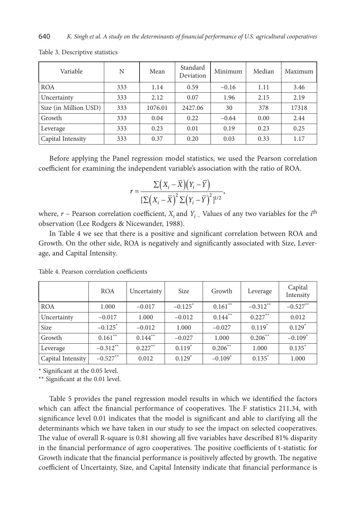| Variable              | N   | Mean    | Standard<br>Deviation | Minimum | Median | Maximum |
|-----------------------|-----|---------|-----------------------|---------|--------|---------|
| <b>ROA</b>            | 333 | 1.14    | 0.59                  | $-0.16$ | 1.11   | 3.46    |
| Uncertainty           | 333 | 2.12    | 0.07                  | 1.96    | 2.15   | 2.19    |
| Size (in Million USD) | 333 | 1076.01 | 2427.06               | 30      | 378    | 17318   |
| Growth                | 333 | 0.04    | 0.22                  | $-0.64$ | 0.00   | 2.44    |
| Leverage              | 333 | 0.23    | 0.01                  | 0.19    | 0.23   | 0.25    |
| Capital Intensity     | 333 | 0.37    | 0.20                  | 0.03    | 0.33   | 1.17    |

Table 3. Descriptive statistics

Before applying the Panel regression model statistics, we used the Pearson correlation coefficient for examining the independent variable's association with the ratio of ROA.

$$
r = \frac{\Sigma (X_i - \overline{X})(Y_i - \overline{Y})}{\left[\Sigma (X_i - \overline{X})^2 \Sigma (Y_i - \overline{Y})^2\right]^{1/2}},
$$

where,  $r$  – Pearson correlation coefficient,  $X_i$  and  $Y_i$  – Values of any two variables for the  $i^{\text{th}}$ observation (Lee Rodgers & Nicewander, 1988).

In Table 4 we see that there is a positive and significant correlation between ROA and Growth. On the other side, ROA is negatively and significantly associated with Size, Leverage, and Capital Intensity.

|                   | <b>ROA</b>            | Uncertainty | <b>Size</b>           | Growth                | Leverage   | Capital<br>Intensity  |
|-------------------|-----------------------|-------------|-----------------------|-----------------------|------------|-----------------------|
| <b>ROA</b>        | 1.000                 | $-0.017$    | $-0.125$ <sup>*</sup> | $0.161$ <sup>**</sup> | $-0.312**$ | $-0.527**$            |
| Uncertainty       | $-0.017$              | 1.000       | $-0.012$              | $0.144$ **            | $0.227**$  | 0.012                 |
| <b>Size</b>       | $-0.125$ <sup>*</sup> | $-0.012$    | 1.000                 | $-0.027$              | $0.119*$   | $0.129*$              |
| Growth            | $0.161$ **            | $0.144$ **  | $-0.027$              | 1.000                 | $0.206$ ** | $-0.109$ <sup>*</sup> |
| Leverage          | $-0.312**$            | $0.227***$  | $0.119*$              | $0.206***$            | 1.000      | $0.135*$              |
| Capital Intensity | $-0.527**$            | 0.012       | $0.129*$              | $-0.109*$             | $0.135*$   | 1.000                 |

Table 4. Pearson correlation coefficients

\* Significant at the 0.05 level.

\*\* Significant at the 0.01 level.

Table 5 provides the panel regression model results in which we identified the factors which can affect the financial performance of cooperatives. The F statistics 211.34, with significance level 0.01 indicates that the model is significant and able to clarifying all the determinants which we have taken in our study to see the impact on selected cooperatives. The value of overall R-square is 0.81 showing all five variables have described 81% disparity in the financial performance of agro cooperatives. The positive coefficients of t-statistic for Growth indicate that the financial performance is positively affected by growth. The negative coefficient of Uncertainty, Size, and Capital Intensity indicate that financial performance is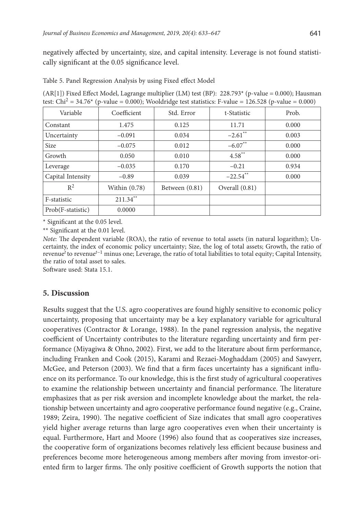negatively affected by uncertainty, size, and capital intensity. Leverage is not found statistically significant at the 0.05 significance level.

| Table 5. Panel Regression Analysis by using Fixed effect Model |  |  |  |  |  |
|----------------------------------------------------------------|--|--|--|--|--|
|----------------------------------------------------------------|--|--|--|--|--|

(AR[1]) Fixed Effect Model, Lagrange multiplier (LM) test (BP): 228.793\* (p-value = 0.000); Hausman test: Chi<sup>2</sup> = 34.76<sup>\*</sup> (p-value = 0.000); Wooldridge test statistics: F-value = 126.528 (p-value = 0.000)

| Variable          | Coefficient   | Std. Error     | t-Statistic           | Prob. |
|-------------------|---------------|----------------|-----------------------|-------|
| Constant          | 1.475         | 0.125          | 11.71                 | 0.000 |
| Uncertainty       | $-0.091$      | 0.034          | $-2.61$ <sup>**</sup> | 0.003 |
| Size              | $-0.075$      | 0.012          | $-6.07**$             | 0.000 |
| Growth            | 0.050         | 0.010          | $4.58***$             | 0.000 |
| Leverage          | $-0.035$      | 0.170          | $-0.21$               | 0.934 |
| Capital Intensity | $-0.89$       | 0.039          | $-22.54$ **           | 0.000 |
| $R^2$             | Within (0.78) | Between (0.81) | Overall $(0.81)$      |       |
| F-statistic       | $211.34***$   |                |                       |       |
| Prob(F-statistic) | 0.0000        |                |                       |       |

\* Significant at the 0.05 level.

\*\* Significant at the 0.01 level.

*Note*: The dependent variable (ROA), the ratio of revenue to total assets (in natural logarithm); Uncertainty, the index of economic policy uncertainty; Size, the log of total assets; Growth, the ratio of revenue*<sup>t</sup>* to revenue*<sup>t</sup>*−1 minus one; Leverage, the ratio of total liabilities to total equity; Capital Intensity, the ratio of total asset to sales.

Software used: Stata 15.1.

### **5. Discussion**

Results suggest that the U.S. agro cooperatives are found highly sensitive to economic policy uncertainty, proposing that uncertainty may be a key explanatory variable for agricultural cooperatives (Contractor & Lorange, 1988). In the panel regression analysis, the negative coefficient of Uncertainty contributes to the literature regarding uncertainty and firm performance (Miyagiwa & Ohno, 2002). First, we add to the literature about firm performance, including Franken and Cook (2015), Karami and Rezaei‐Moghaddam (2005) and Sawyerr, McGee, and Peterson (2003). We find that a firm faces uncertainty has a significant influence on its performance. To our knowledge, this is the first study of agricultural cooperatives to examine the relationship between uncertainty and financial performance. The literature emphasizes that as per risk aversion and incomplete knowledge about the market, the relationship between uncertainty and agro cooperative performance found negative (e.g., Craine, 1989; Zeira, 1990). The negative coefficient of Size indicates that small agro cooperatives yield higher average returns than large agro cooperatives even when their uncertainty is equal. Furthermore, Hart and Moore (1996) also found that as cooperatives size increases, the cooperative form of organizations becomes relatively less efficient because business and preferences become more heterogeneous among members after moving from investor-oriented firm to larger firms. The only positive coefficient of Growth supports the notion that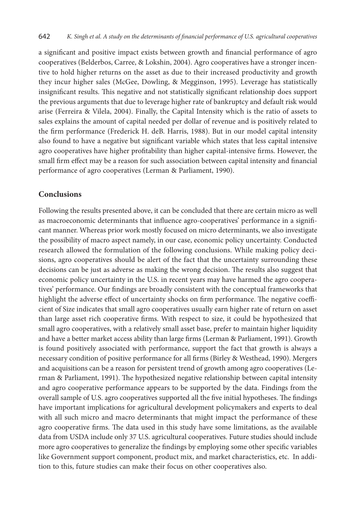a significant and positive impact exists between growth and financial performance of agro cooperatives (Belderbos, Carree, & Lokshin, 2004). Agro cooperatives have a stronger incentive to hold higher returns on the asset as due to their increased productivity and growth they incur higher sales (McGee, Dowling, & Megginson, 1995). Leverage has statistically insignificant results. This negative and not statistically significant relationship does support the previous arguments that due to leverage higher rate of bankruptcy and default risk would arise (Ferreira & Vilela, 2004). Finally, the Capital Intensity which is the ratio of assets to sales explains the amount of capital needed per dollar of revenue and is positively related to the firm performance (Frederick H. deB. Harris, 1988). But in our model capital intensity also found to have a negative but significant variable which states that less capital intensive agro cooperatives have higher profitability than higher capital-intensive firms. However, the small firm effect may be a reason for such association between capital intensity and financial performance of agro cooperatives (Lerman & Parliament, 1990).

### **Conclusions**

Following the results presented above, it can be concluded that there are certain micro as well as macroeconomic determinants that influence agro-cooperatives' performance in a significant manner. Whereas prior work mostly focused on micro determinants, we also investigate the possibility of macro aspect namely, in our case, economic policy uncertainty. Conducted research allowed the formulation of the following conclusions. While making policy decisions, agro cooperatives should be alert of the fact that the uncertainty surrounding these decisions can be just as adverse as making the wrong decision. The results also suggest that economic policy uncertainty in the U.S. in recent years may have harmed the agro cooperatives' performance. Our findings are broadly consistent with the conceptual frameworks that highlight the adverse effect of uncertainty shocks on firm performance. The negative coefficient of Size indicates that small agro cooperatives usually earn higher rate of return on asset than large asset rich cooperative firms. With respect to size, it could be hypothesized that small agro cooperatives, with a relatively small asset base, prefer to maintain higher liquidity and have a better market access ability than large firms (Lerman & Parliament, 1991). Growth is found positively associated with performance, support the fact that growth is always a necessary condition of positive performance for all firms (Birley & Westhead, 1990). Mergers and acquisitions can be a reason for persistent trend of growth among agro cooperatives (Lerman & Parliament, 1991). The hypothesized negative relationship between capital intensity and agro cooperative performance appears to be supported by the data. Findings from the overall sample of U.S. agro cooperatives supported all the five initial hypotheses. The findings have important implications for agricultural development policymakers and experts to deal with all such micro and macro determinants that might impact the performance of these agro cooperative firms. The data used in this study have some limitations, as the available data from USDA include only 37 U.S. agricultural cooperatives. Future studies should include more agro cooperatives to generalize the findings by employing some other specific variables like Government support component, product mix, and market characteristics, etc. In addition to this, future studies can make their focus on other cooperatives also.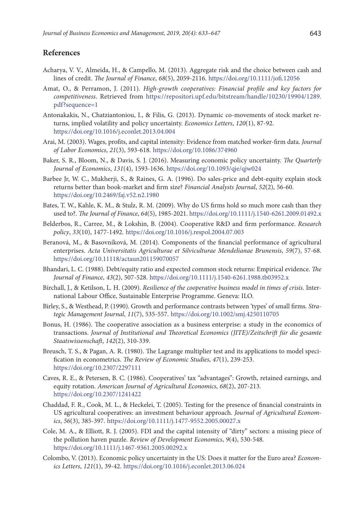### **References**

- Acharya, V. V., Almeida, H., & Campello, M. (2013). Aggregate risk and the choice between cash and lines of credit. *The Journal of Finance*, *68*(5), 2059-2116. <https://doi.org/10.1111/jofi.12056>
- Amat, O., & Perramon, J. (2011). *High-growth cooperatives: Financial profile and key factors for competitiveness*. Retrieved from [https://repositori.upf.edu/bitstream/handle/10230/19904/1289.](https://repositori.upf.edu/bitstream/handle/10230/19904/1289.pdf?sequence=1) [pdf?sequence=1](https://repositori.upf.edu/bitstream/handle/10230/19904/1289.pdf?sequence=1)
- Antonakakis, N., Chatziantoniou, I., & Filis, G. (2013). Dynamic co-movements of stock market returns, implied volatility and policy uncertainty. *Economics Letters*, *120*(1), 87-92. <https://doi.org/10.1016/j.econlet.2013.04.004>
- Arai, M. (2003). Wages, profits, and capital intensity: Evidence from matched worker-firm data. *Journal of Labor Economics*, *21*(3), 593-618. <https://doi.org/10.1086/374960>
- Baker, S. R., Bloom, N., & Davis, S. J. (2016). Measuring economic policy uncertainty. *The Quarterly Journal of Economics*, *131*(4), 1593-1636.<https://doi.org/10.1093/qje/qjw024>
- Barbee Jr, W. C., Mukherji, S., & Raines, G. A. (1996). Do sales-price and debt-equity explain stock returns better than book-market and firm size? *Financial Analysts Journal*, *52*(2), 56-60. <https://doi.org/10.2469/faj.v52.n2.1980>
- Bates, T. W., Kahle, K. M., & Stulz, R. M. (2009). Why do US firms hold so much more cash than they used to?. *The Journal of Finance*, *64*(5), 1985-2021.<https://doi.org/10.1111/j.1540-6261.2009.01492.x>
- Belderbos, R., Carree, M., & Lokshin, B. (2004). Cooperative R&D and firm performance. *Research policy*, *33*(10), 1477-1492. <https://doi.org/10.1016/j.respol.2004.07.003>
- Beranová, M., & Basovníková, M. (2014). Components of the financial performance of agricultural enterprises. *Acta Universitatis Agriculturae et Silviculturae Mendelianae Brunensis*, *59*(7), 57-68. <https://doi.org/10.11118/actaun201159070057>
- Bhandari, L. C. (1988). Debt/equity ratio and expected common stock returns: Empirical evidence. *The Journal of Finance*, *43*(2), 507-528. <https://doi.org/10.1111/j.1540-6261.1988.tb03952.x>
- Birchall, J., & Ketilson, L. H. (2009). *Resilience of the cooperative business model in times of crisis*. International Labour Office, Sustainable Enterprise Programme. Geneva: ILO.
- Birley, S., & Westhead, P. (1990). Growth and performance contrasts between 'types' of small firms. *Strategic Management Journal*, *11*(7), 535-557. <https://doi.org/10.1002/smj.4250110705>
- Bonus, H. (1986). The cooperative association as a business enterprise: a study in the economics of transactions. *Journal of Institutional and Theoretical Economics (JITE)/Zeitschrift für die gesamte Staatswissenschaft*, *142*(2), 310-339.
- Breusch, T. S., & Pagan, A. R. (1980). The Lagrange multiplier test and its applications to model specification in econometrics. *The Review of Economic Studies*, *47*(1), 239-253. <https://doi.org/10.2307/2297111>
- Caves, R. E., & Petersen, B. C. (1986). Cooperatives' tax "advantages": Growth, retained earnings, and equity rotation. *American Journal of Agricultural Economics*, *68*(2), 207-213. <https://doi.org/10.2307/1241422>
- Chaddad, F. R., Cook, M. L., & Heckelei, T. (2005). Testing for the presence of financial constraints in US agricultural cooperatives: an investment behaviour approach. *Journal of Agricultural Economics*, *56*(3), 385-397. <https://doi.org/10.1111/j.1477-9552.2005.00027.x>
- Cole, M. A., & Elliott, R. J. (2005). FDI and the capital intensity of "dirty" sectors: a missing piece of the pollution haven puzzle. *Review of Development Economics*, *9*(4), 530-548. <https://doi.org/10.1111/j.1467-9361.2005.00292.x>
- Colombo, V. (2013). Economic policy uncertainty in the US: Does it matter for the Euro area? *Economics Letters*, *121*(1), 39-42. <https://doi.org/10.1016/j.econlet.2013.06.024>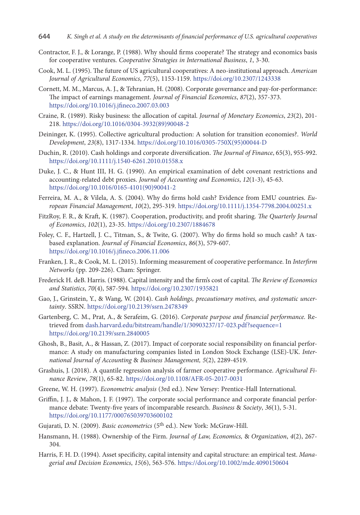- Contractor, F. J., & Lorange, P. (1988). Why should firms cooperate? The strategy and economics basis for cooperative ventures. *Cooperative Strategies in International Business*, *1*, 3-30.
- Cook, M. L. (1995). The future of US agricultural cooperatives: A neo-institutional approach. *American Journal of Agricultural Economics*, *77*(5), 1153-1159. <https://doi.org/10.2307/1243338>
- Cornett, M. M., Marcus, A. J., & Tehranian, H. (2008). Corporate governance and pay-for-performance: The impact of earnings management. *Journal of Financial Economics*, *87*(2), 357-373. <https://doi.org/10.1016/j.jfineco.2007.03.003>
- Craine, R. (1989). Risky business: the allocation of capital. *Journal of Monetary Economics*, *23*(2), 201- 218. [https://doi.org/10.1016/0304-3932\(89\)90048-2](https://doi.org/10.1016/0304-3932(89)90048-2)
- Deininger, K. (1995). Collective agricultural production: A solution for transition economies?. *World Development*, *23*(8), 1317-1334. [https://doi.org/10.1016/0305-750X\(95\)00044-D](https://doi.org/10.1016/0305-750X(95)00044-D)
- Duchin, R. (2010). Cash holdings and corporate diversification. *The Journal of Finance*, 65(3), 955-992. <https://doi.org/10.1111/j.1540-6261.2010.01558.x>
- Duke, J. C., & Hunt III, H. G. (1990). An empirical examination of debt covenant restrictions and accounting-related debt proxies. *Journal of Accounting and Economics*, *12*(1-3), 45-63. [https://doi.org/10.1016/0165-4101\(90\)90041-2](https://doi.org/10.1016/0165-4101(90)90041-2)
- Ferreira, M. A., & Vilela, A. S. (2004). Why do firms hold cash? Evidence from EMU countries. *European Financial Management*, *10*(2), 295-319.<https://doi.org/10.1111/j.1354-7798.2004.00251.x>
- FitzRoy, F. R., & Kraft, K. (1987). Cooperation, productivity, and profit sharing. *The Quarterly Journal of Economics*, *102*(1), 23-35. <https://doi.org/10.2307/1884678>
- Foley, C. F., Hartzell, J. C., Titman, S., & Twite, G. (2007). Why do firms hold so much cash? A taxbased explanation. *Journal of Financial Economics*, *86*(3), 579-607. <https://doi.org/10.1016/j.jfineco.2006.11.006>
- Franken, J. R., & Cook, M. L. (2015). Informing measurement of cooperative performance. In *Interfirm Networks* (pp. 209-226). Cham: Springer.
- Frederick H. deB. Harris. (1988). Capital intensity and the firm's cost of capital. *The Review of Economics and Statistics*, *70*(4), 587-594. <https://doi.org/10.2307/1935821>
- Gao, J., Grinstein, Y., & Wang, W. (2014). *Cash holdings, precautionary motives, and systematic uncertainty*. SSRN. <https://doi.org/10.2139/ssrn.2478349>
- Gartenberg, C. M., Prat, A., & Serafeim, G. (2016). *Corporate purpose and financial performance.* Retrieved from dash.harvard.edu/bitstream/handle/1/30903237/17-023.pdf?sequence=1 <https://doi.org/10.2139/ssrn.2840005>
- Ghosh, B., Basit, A., & Hassan, Z. (2017). Impact of corporate social responsibility on financial performance: A study on manufacturing companies listed in London Stock Exchange (LSE)-UK. *International Journal of Accounting* & *Business Management, 5*(2), 2289-4519.
- Grashuis, J. (2018). A quantile regression analysis of farmer cooperative performance. *Agricultural Finance Review*, *78*(1), 65-82. <https://doi.org/10.1108/AFR-05-2017-0031>
- Greene, W. H. (1997). *Econometric analysis* (3rd ed.). New Yersey: Prentice-Hall International.
- Griffin, J. J., & Mahon, J. F. (1997). The corporate social performance and corporate financial performance debate: Twenty-five years of incomparable research. *Business* & *Society*, *36*(1), 5-31. <https://doi.org/10.1177/000765039703600102>
- Gujarati, D. N. (2009). *Basic econometrics* (5th ed.). New York: McGraw-Hill.
- Hansmann, H. (1988). Ownership of the Firm. *Journal of Law, Economics,* & *Organization*, *4*(2), 267- 304.
- Harris, F. H. D. (1994). Asset specificity, capital intensity and capital structure: an empirical test. *Managerial and Decision Economics*, *15*(6), 563-576. <https://doi.org/10.1002/mde.4090150604>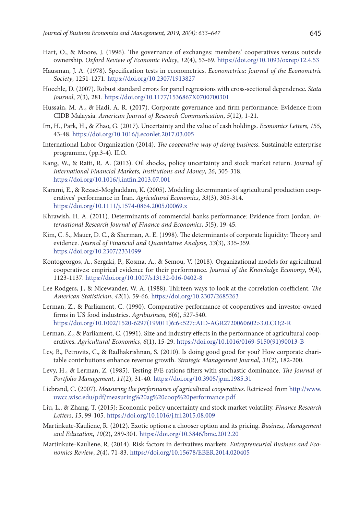- Hart, O., & Moore, J. (1996). The governance of exchanges: members' cooperatives versus outside ownership. *Oxford Review of Economic Policy*, *12*(4), 53-69. <https://doi.org/10.1093/oxrep/12.4.53>
- Hausman, J. A. (1978). Specification tests in econometrics. *Econometrica: Journal of the Econometric Society*, 1251-1271. <https://doi.org/10.2307/1913827>
- Hoechle, D. (2007). Robust standard errors for panel regressions with cross-sectional dependence. *Stata Journal*, *7*(3), 281. <https://doi.org/10.1177/1536867X0700700301>
- Hussain, M. A., & Hadi, A. R. (2017). Corporate governance and firm performance: Evidence from CIDB Malaysia. *American Journal of Research Communication*, *5*(12), 1-21.
- Im, H., Park, H., & Zhao, G. (2017). Uncertainty and the value of cash holdings. *Economics Letters*, *155*, 43-48. <https://doi.org/10.1016/j.econlet.2017.03.005>
- International Labor Organization (2014). *The cooperative way of doing business*. Sustainable enterprise programme, (pp.3-4). ILO.
- Kang, W., & Ratti, R. A. (2013). Oil shocks, policy uncertainty and stock market return. *Journal of International Financial Markets, Institutions and Money*, *26*, 305-318. <https://doi.org/10.1016/j.intfin.2013.07.001>
- Karami, E., & Rezaei‐Moghaddam, K. (2005). Modeling determinants of agricultural production cooperatives' performance in Iran. *Agricultural Economics*, *33*(3), 305-314. <https://doi.org/10.1111/j.1574-0864.2005.00069.x>
- Khrawish, H. A. (2011). Determinants of commercial banks performance: Evidence from Jordan. *International Research Journal of Finance and Economics*, *5*(5), 19-45.
- Kim, C. S., Mauer, D. C., & Sherman, A. E. (1998). The determinants of corporate liquidity: Theory and evidence. *Journal of Financial and Quantitative Analysis*, *33*(3), 335-359. <https://doi.org/10.2307/2331099>
- Kontogeorgos, A., Sergaki, P., Kosma, A., & Semou, V. (2018). Organizational models for agricultural cooperatives: empirical evidence for their performance. *Journal of the Knowledge Economy*, *9*(4), 1123-1137. <https://doi.org/10.1007/s13132-016-0402-8>
- Lee Rodgers, J., & Nicewander, W. A. (1988). Thirteen ways to look at the correlation coefficient. *The American Statistician*, *42*(1), 59-66. <https://doi.org/10.2307/2685263>
- Lerman, Z., & Parliament, C. (1990). Comparative performance of cooperatives and investor-owned firms in US food industries. *Agribusiness*, *6*(6), 527-540. [https://doi.org/10.1002/1520-6297\(199011\)6:6<527::AID-AGR2720060602>3.0.CO;2-R](https://doi.org/10.1002/1520-6297(199011)6:6%3C527::AID-AGR2720060602%3E3.0.CO;2-R)
- Lerman, Z., & Parliament, C. (1991). Size and industry effects in the performance of agricultural cooperatives. *Agricultural Economics*, *6*(1), 15-29. [https://doi.org/10.1016/0169-5150\(91\)90013-B](https://doi.org/10.1016/0169-5150(91)90013-B)
- Lev, B., Petrovits, C., & Radhakrishnan, S. (2010). Is doing good good for you? How corporate charitable contributions enhance revenue growth. *Strategic Management Journal*, *31*(2), 182-200.
- Levy, H., & Lerman, Z. (1985). Testing P/E rations filters with stochastic dominance. *The Journal of Portfolio Management*, *11*(2), 31-40. <https://doi.org/10.3905/jpm.1985.31>
- Liebrand, C. (2007). *Measuring the performance of agricultural cooperatives*. Retrieved from http://www. uwcc.wisc.edu/pdf/measuring%20ag%20coop%20performance.pdf
- Liu, L., & Zhang, T. (2015): Economic policy uncertainty and stock market volatility. *Finance Research Letters*, *15*, 99-105.<https://doi.org/10.1016/j.frl.2015.08.009>
- Martinkute-Kauliene, R. (2012). Exotic options: a chooser option and its pricing. *Business, Management and Education*, *10*(2), 289-301. <https://doi.org/10.3846/bme.2012.20>
- Martinkute-Kauliene, R. (2014). Risk factors in derivatives markets. *Entrepreneurial Business and Economics Review*, *2*(4), 71-83. <https://doi.org/10.15678/EBER.2014.020405>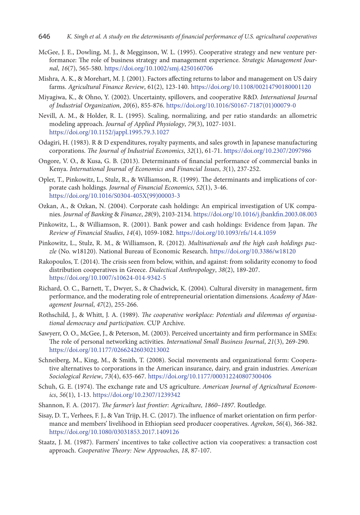- McGee, J. E., Dowling, M. J., & Megginson, W. L. (1995). Cooperative strategy and new venture performance: The role of business strategy and management experience. *Strategic Management Journal*, *16*(7), 565-580. <https://doi.org/10.1002/smj.4250160706>
- Mishra, A. K., & Morehart, M. J. (2001). Factors affecting returns to labor and management on US dairy farms. *Agricultural Finance Review*, 61(2), 123-140.<https://doi.org/10.1108/00214790180001120>
- Miyagiwa, K., & Ohno, Y. (2002). Uncertainty, spillovers, and cooperative R&D. *International Journal of Industrial Organization*, *20*(6), 855-876. [https://doi.org/10.1016/S0167-7187\(01\)00079-0](https://doi.org/10.1016/S0167-7187(01)00079-0)
- Nevill, A. M., & Holder, R. L. (1995). Scaling, normalizing, and per ratio standards: an allometric modeling approach. *Journal of Applied Physiology*, *79*(3), 1027-1031. <https://doi.org/10.1152/jappl.1995.79.3.1027>
- Odagiri, H. (1983). R & D expenditures, royalty payments, and sales growth in Japanese manufacturing corporations. *The Journal of Industrial Economics*, *32*(1), 61-71. <https://doi.org/10.2307/2097986>
- Ongore, V. O., & Kusa, G. B. (2013). Determinants of financial performance of commercial banks in Kenya. *International Journal of Economics and Financial Issues*, *3*(1), 237-252.
- Opler, T., Pinkowitz, L., Stulz, R., & Williamson, R. (1999). The determinants and implications of corporate cash holdings. *Journal of Financial Economics*, *52*(1), 3-46. [https://doi.org/10.1016/S0304-405X\(99\)00003-3](https://doi.org/10.1016/S0304-405X(99)00003-3)
- Ozkan, A., & Ozkan, N. (2004). Corporate cash holdings: An empirical investigation of UK companies. *Journal of Banking* & *Finance*, *28*(9), 2103-2134. <https://doi.org/10.1016/j.jbankfin.2003.08.003>
- Pinkowitz, L., & Williamson, R. (2001). Bank power and cash holdings: Evidence from Japan. *The Review of Financial Studies*, *14*(4), 1059-1082. <https://doi.org/10.1093/rfs/14.4.1059>
- Pinkowitz, L., Stulz, R. M., & Williamson, R. (2012). *Multinationals and the high cash holdings puzzle* (No. w18120). National Bureau of Economic Research. <https://doi.org/10.3386/w18120>
- Rakopoulos, T. (2014). The crisis seen from below, within, and against: from solidarity economy to food distribution cooperatives in Greece. *Dialectical Anthropology*, *38*(2), 189-207. <https://doi.org/10.1007/s10624-014-9342-5>
- Richard, O. C., Barnett, T., Dwyer, S., & Chadwick, K. (2004). Cultural diversity in management, firm performance, and the moderating role of entrepreneurial orientation dimensions. *Academy of Management Journal*, *47*(2), 255-266.
- Rothschild, J., & Whitt, J. A. (1989). *The cooperative workplace: Potentials and dilemmas of organisational democracy and participation.* CUP Archive.
- Sawyerr, O. O., McGee, J., & Peterson, M. (2003). Perceived uncertainty and firm performance in SMEs: The role of personal networking activities. *International Small Business Journal*, *21*(3), 269-290. [https://doi.org/10.1177/02662426030213002](https://doi.org/10.1177%2F02662426030213002)
- Schneiberg, M., King, M., & Smith, T. (2008). Social movements and organizational form: Cooperative alternatives to corporations in the American insurance, dairy, and grain industries. *American Sociological Review*, *73*(4), 635-667. <https://doi.org/10.1177/000312240807300406>
- Schuh, G. E. (1974). The exchange rate and US agriculture. *American Journal of Agricultural Economics*, *56*(1), 1-13. <https://doi.org/10.2307/1239342>
- Shannon, F. A. (2017). *The farmer's last frontier: Agriculture, 1860–1897*. Routledge.
- Sisay, D. T., Verhees, F. J., & Van Trijp, H. C. (2017). The influence of market orientation on firm performance and members' livelihood in Ethiopian seed producer cooperatives. *Agrekon*, *56*(4), 366-382. <https://doi.org/10.1080/03031853.2017.1409126>
- Staatz, J. M. (1987). Farmers' incentives to take collective action via cooperatives: a transaction cost approach. *Cooperative Theory: New Approaches*, *18*, 87-107.